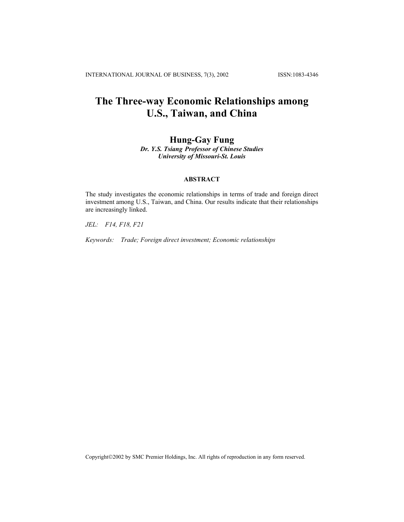INTERNATIONAL JOURNAL OF BUSINESS, 7(3), 2002 ISSN:1083-4346

# **The Three-way Economic Relationships among U.S., Taiwan, and China**

# **Hung-Gay Fung**

*Dr. Y.S. Tsiang Professor of Chinese Studies University of Missouri-St. Louis*

## **ABSTRACT**

The study investigates the economic relationships in terms of trade and foreign direct investment among U.S., Taiwan, and China. Our results indicate that their relationships are increasingly linked.

*JEL: F14, F18, F21* 

*Keywords: Trade; Foreign direct investment; Economic relationships* 

Copyright©2002 by SMC Premier Holdings, Inc. All rights of reproduction in any form reserved.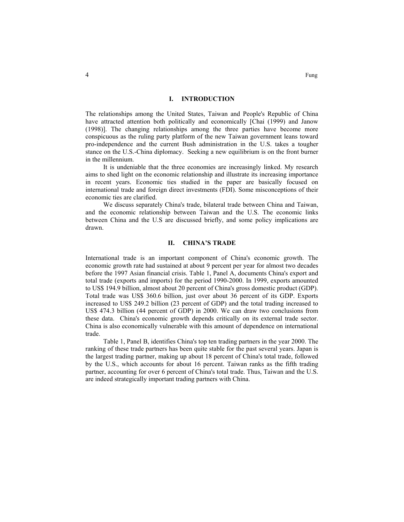#### **I. INTRODUCTION**

The relationships among the United States, Taiwan and People's Republic of China have attracted attention both politically and economically [Chai (1999) and Janow (1998)]. The changing relationships among the three parties have become more conspicuous as the ruling party platform of the new Taiwan government leans toward pro-independence and the current Bush administration in the U.S. takes a tougher stance on the U.S.-China diplomacy. Seeking a new equilibrium is on the front burner in the millennium.

It is undeniable that the three economies are increasingly linked. My research aims to shed light on the economic relationship and illustrate its increasing importance in recent years. Economic ties studied in the paper are basically focused on international trade and foreign direct investments (FDI). Some misconceptions of their economic ties are clarified.

We discuss separately China's trade, bilateral trade between China and Taiwan, and the economic relationship between Taiwan and the U.S. The economic links between China and the U.S are discussed briefly, and some policy implications are drawn.

#### **II. CHINA'S TRADE**

International trade is an important component of China's economic growth. The economic growth rate had sustained at about 9 percent per year for almost two decades before the 1997 Asian financial crisis. Table 1, Panel A, documents China's export and total trade (exports and imports) for the period 1990-2000. In 1999, exports amounted to US\$ 194.9 billion, almost about 20 percent of China's gross domestic product (GDP). Total trade was US\$ 360.6 billion, just over about 36 percent of its GDP. Exports increased to US\$ 249.2 billion (23 percent of GDP) and the total trading increased to US\$ 474.3 billion (44 percent of GDP) in 2000. We can draw two conclusions from these data. China's economic growth depends critically on its external trade sector. China is also economically vulnerable with this amount of dependence on international trade.

Table 1, Panel B, identifies China's top ten trading partners in the year 2000. The ranking of these trade partners has been quite stable for the past several years. Japan is the largest trading partner, making up about 18 percent of China's total trade, followed by the U.S., which accounts for about 16 percent. Taiwan ranks as the fifth trading partner, accounting for over 6 percent of China's total trade. Thus, Taiwan and the U.S. are indeed strategically important trading partners with China.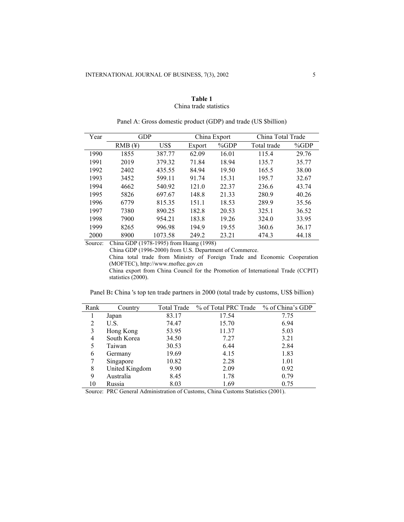## **Table 1** China trade statistics

| Year | GDP       |         |        | China Export | China Total Trade |       |
|------|-----------|---------|--------|--------------|-------------------|-------|
|      | $RMB$ (¥) | US\$    | Export | %GDP         | Total trade       | %GDP  |
| 1990 | 1855      | 387.77  | 62.09  | 16.01        | 115.4             | 29.76 |
| 1991 | 2019      | 379.32  | 71.84  | 18.94        | 135.7             | 35.77 |
| 1992 | 2402      | 435.55  | 84.94  | 19.50        | 165.5             | 38.00 |
| 1993 | 3452      | 599.11  | 91.74  | 15.31        | 195.7             | 32.67 |
| 1994 | 4662      | 540.92  | 121.0  | 22.37        | 236.6             | 43.74 |
| 1995 | 5826      | 697.67  | 148.8  | 21.33        | 280.9             | 40.26 |
| 1996 | 6779      | 815.35  | 151.1  | 18.53        | 289.9             | 35.56 |
| 1997 | 7380      | 890.25  | 182.8  | 20.53        | 325.1             | 36.52 |
| 1998 | 7900      | 954.21  | 183.8  | 19.26        | 324.0             | 33.95 |
| 1999 | 8265      | 996.98  | 194.9  | 19.55        | 360.6             | 36.17 |
| 2000 | 8900      | 1073.58 | 249.2  | 23.21        | 474.3             | 44.18 |

| Panel A: Gross domestic product (GDP) and trade (US \$billion) |  |  |
|----------------------------------------------------------------|--|--|

Source: China GDP (1978-1995) from Huang (1998)

China GDP (1996-2000) from U.S. Department of Commerce.

China total trade from Ministry of Foreign Trade and Economic Cooperation (MOFTEC), http://www.moftec.gov.cn

China export from China Council for the Promotion of International Trade (CCPIT) statistics (2000).

Panel B: China 's top ten trade partners in 2000 (total trade by customs, US\$ billion)

| Rank | Country        | Total Trade | % of Total PRC Trade | % of China's GDP |
|------|----------------|-------------|----------------------|------------------|
|      | Japan          | 83.17       | 17.54                | 7.75             |
| 2    | U.S.           | 74.47       | 15.70                | 6.94             |
| 3    | Hong Kong      | 53.95       | 11.37                | 5.03             |
| 4    | South Korea    | 34.50       | 7.27                 | 3.21             |
| 5    | Taiwan         | 30.53       | 6.44                 | 2.84             |
| 6    | Germany        | 19.69       | 4.15                 | 1.83             |
|      | Singapore      | 10.82       | 2.28                 | 1.01             |
| 8    | United Kingdom | 9.90        | 2.09                 | 0.92             |
| 9    | Australia      | 8.45        | 1.78                 | 0.79             |
| 10   | Russia         | 8.03        | 1.69                 | 0.75             |

Source: PRC General Administration of Customs, China Customs Statistics (2001).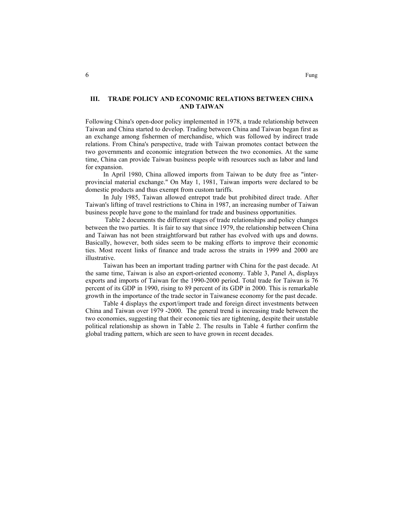## **III. TRADE POLICY AND ECONOMIC RELATIONS BETWEEN CHINA AND TAIWAN**

Following China's open-door policy implemented in 1978, a trade relationship between Taiwan and China started to develop. Trading between China and Taiwan began first as an exchange among fishermen of merchandise, which was followed by indirect trade relations. From China's perspective, trade with Taiwan promotes contact between the two governments and economic integration between the two economies. At the same time, China can provide Taiwan business people with resources such as labor and land for expansion.

In April 1980, China allowed imports from Taiwan to be duty free as "interprovincial material exchange." On May 1, 1981, Taiwan imports were declared to be domestic products and thus exempt from custom tariffs.

In July 1985, Taiwan allowed entrepot trade but prohibited direct trade. After Taiwan's lifting of travel restrictions to China in 1987, an increasing number of Taiwan business people have gone to the mainland for trade and business opportunities.

Table 2 documents the different stages of trade relationships and policy changes between the two parties. It is fair to say that since 1979, the relationship between China and Taiwan has not been straightforward but rather has evolved with ups and downs. Basically, however, both sides seem to be making efforts to improve their economic ties. Most recent links of finance and trade across the straits in 1999 and 2000 are illustrative.

Taiwan has been an important trading partner with China for the past decade. At the same time, Taiwan is also an export-oriented economy. Table 3, Panel A, displays exports and imports of Taiwan for the 1990-2000 period. Total trade for Taiwan is 76 percent of its GDP in 1990, rising to 89 percent of its GDP in 2000. This is remarkable growth in the importance of the trade sector in Taiwanese economy for the past decade.

Table 4 displays the export/import trade and foreign direct investments between China and Taiwan over 1979 -2000. The general trend is increasing trade between the two economies, suggesting that their economic ties are tightening, despite their unstable political relationship as shown in Table 2. The results in Table 4 further confirm the global trading pattern, which are seen to have grown in recent decades.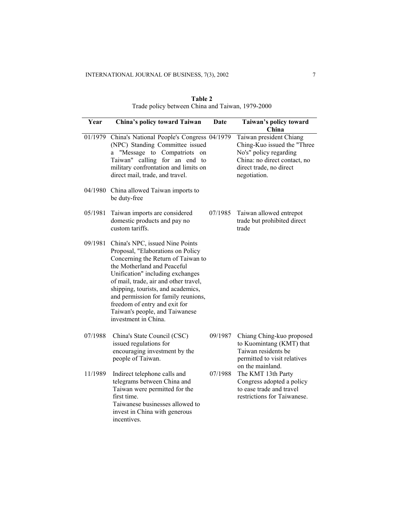| Year    | China's policy toward Taiwan                                                                                                                                                                                                                                                                                                                                                                   | Date    | Taiwan's policy toward<br>China                                                                                                                             |
|---------|------------------------------------------------------------------------------------------------------------------------------------------------------------------------------------------------------------------------------------------------------------------------------------------------------------------------------------------------------------------------------------------------|---------|-------------------------------------------------------------------------------------------------------------------------------------------------------------|
| 01/1979 | China's National People's Congress 04/1979<br>(NPC) Standing Committee issued<br>"Message to Compatriots on<br>a<br>Taiwan" calling for an end to<br>military confrontation and limits on<br>direct mail, trade, and travel.                                                                                                                                                                   |         | Taiwan president Chiang<br>Ching-Kuo issued the "Three<br>No's" policy regarding<br>China: no direct contact, no<br>direct trade, no direct<br>negotiation. |
| 04/1980 | China allowed Taiwan imports to<br>be duty-free                                                                                                                                                                                                                                                                                                                                                |         |                                                                                                                                                             |
| 05/1981 | Taiwan imports are considered<br>domestic products and pay no<br>custom tariffs.                                                                                                                                                                                                                                                                                                               | 07/1985 | Taiwan allowed entrepot<br>trade but prohibited direct<br>trade                                                                                             |
| 09/1981 | China's NPC, issued Nine Points<br>Proposal, "Elaborations on Policy<br>Concerning the Return of Taiwan to<br>the Motherland and Peaceful<br>Unification" including exchanges<br>of mail, trade, air and other travel,<br>shipping, tourists, and academics,<br>and permission for family reunions,<br>freedom of entry and exit for<br>Taiwan's people, and Taiwanese<br>investment in China. |         |                                                                                                                                                             |
| 07/1988 | China's State Council (CSC)<br>issued regulations for<br>encouraging investment by the<br>people of Taiwan.                                                                                                                                                                                                                                                                                    | 09/1987 | Chiang Ching-kuo proposed<br>to Kuomintang (KMT) that<br>Taiwan residents be<br>permitted to visit relatives                                                |
| 11/1989 | Indirect telephone calls and<br>telegrams between China and<br>Taiwan were permitted for the<br>first time.<br>Taiwanese businesses allowed to<br>invest in China with generous<br>incentives.                                                                                                                                                                                                 | 07/1988 | on the mainland.<br>The KMT 13th Party<br>Congress adopted a policy<br>to ease trade and travel<br>restrictions for Taiwanese.                              |

| Table 2                                          |  |
|--------------------------------------------------|--|
| Trade policy between China and Taiwan, 1979-2000 |  |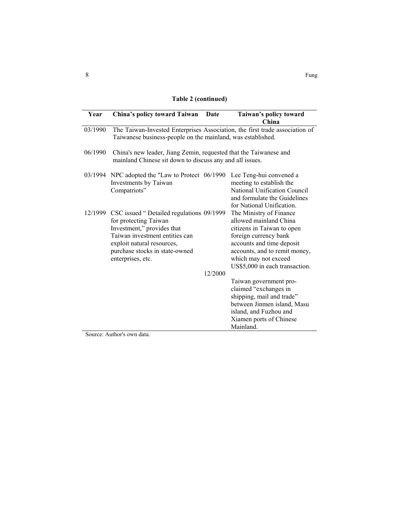**Table 2 (continued)** 

| Year    | China's policy toward Taiwan Date                                                                                                                                                                                              |         | Taiwan's policy toward<br>China                                                                                                                                                                                                  |
|---------|--------------------------------------------------------------------------------------------------------------------------------------------------------------------------------------------------------------------------------|---------|----------------------------------------------------------------------------------------------------------------------------------------------------------------------------------------------------------------------------------|
| 03/1990 | The Taiwan-Invested Enterprises Association, the first trade association of<br>Taiwanese business-people on the mainland, was established.                                                                                     |         |                                                                                                                                                                                                                                  |
| 06/1990 | China's new leader, Jiang Zemin, requested that the Taiwanese and<br>mainland Chinese sit down to discuss any and all issues.                                                                                                  |         |                                                                                                                                                                                                                                  |
|         | 03/1994 NPC adopted the "Law to Protect 06/1990<br>Investments by Taiwan<br>Compatriots"                                                                                                                                       |         | Lee Teng-hui convened a<br>meeting to establish the<br>National Unification Council<br>and formulate the Guidelines<br>for National Unification.                                                                                 |
|         | 12/1999 CSC issued "Detailed regulations 09/1999<br>for protecting Taiwan<br>Investment," provides that<br>Taiwan investment entities can<br>exploit natural resources,<br>purchase stocks in state-owned<br>enterprises, etc. |         | The Ministry of Finance<br>allowed mainland China<br>citizens in Taiwan to open<br>foreign currency bank<br>accounts and time deposit<br>accounts, and to remit money,<br>which may not exceed<br>US\$5,000 in each transaction. |
|         |                                                                                                                                                                                                                                | 12/2000 |                                                                                                                                                                                                                                  |
|         |                                                                                                                                                                                                                                |         | Taiwan government pro-<br>claimed "exchanges in<br>shipping, mail and trade"<br>between Jinmen island, Masu<br>island, and Fuzhou and<br>Xiamen ports of Chinese<br>Mainland.                                                    |

Source: Author's own data.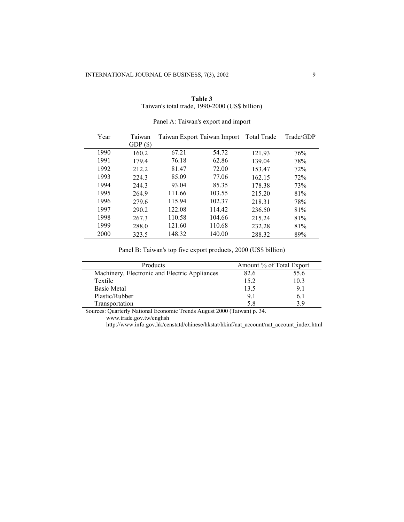| Table 3                                        |  |
|------------------------------------------------|--|
| Taiwan's total trade, 1990-2000 (US\$ billion) |  |

| Year | Taiwan |        | Taiwan Export Taiwan Import | <b>Total Trade</b> | Trade/GDP |
|------|--------|--------|-----------------------------|--------------------|-----------|
|      | GDP(S) |        |                             |                    |           |
| 1990 | 160.2  | 67.21  | 54.72                       | 121.93             | 76%       |
| 1991 | 179.4  | 76.18  | 62.86                       | 139.04             | 78%       |
| 1992 | 212.2  | 81.47  | 72.00                       | 153.47             | 72%       |
| 1993 | 224.3  | 85.09  | 77.06                       | 162.15             | 72%       |
| 1994 | 244.3  | 93.04  | 85.35                       | 178.38             | 73%       |
| 1995 | 264.9  | 111.66 | 103.55                      | 215.20             | 81%       |
| 1996 | 279.6  | 115.94 | 102.37                      | 218.31             | 78%       |
| 1997 | 290.2  | 122.08 | 114.42                      | 236.50             | 81%       |
| 1998 | 267.3  | 110.58 | 104.66                      | 215.24             | 81%       |
| 1999 | 288.0  | 121.60 | 110.68                      | 232.28             | 81%       |
| 2000 | 323.5  | 148.32 | 140.00                      | 288.32             | 89%       |

| Panel A: Taiwan's export and import |  |
|-------------------------------------|--|

Panel B: Taiwan's top five export products, 2000 (US\$ billion)

| Products                                      | Amount % of Total Export |      |
|-----------------------------------------------|--------------------------|------|
| Machinery, Electronic and Electric Appliances | 82.6                     | 55.6 |
| Textile                                       | 15.2                     | 10.3 |
| <b>Basic Metal</b>                            | 13.5                     | 9.1  |
| Plastic/Rubber                                | 91                       | 6. I |
| Transportation                                | 58                       |      |

Sources: Quarterly National Economic Trends August 2000 (Taiwan) p. 34.

http://www.info.gov.hk/censtatd/chinese/hkstat/hkinf/nat\_account/nat\_account\_index.html

www.trade.gov.tw/english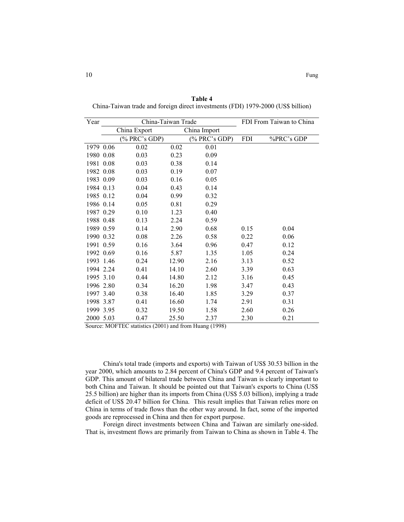| Year      | China-Taiwan Trade |       |               | FDI From Taiwan to China |            |
|-----------|--------------------|-------|---------------|--------------------------|------------|
|           | China Export       |       | China Import  |                          |            |
|           | (% PRC's GDP)      |       | (% PRC's GDP) | <b>FDI</b>               | %PRC's GDP |
| 1979 0.06 | 0.02               | 0.02  | 0.01          |                          |            |
| 1980 0.08 | 0.03               | 0.23  | 0.09          |                          |            |
| 1981 0.08 | 0.03               | 0.38  | 0.14          |                          |            |
| 1982 0.08 | 0.03               | 0.19  | 0.07          |                          |            |
| 1983 0.09 | 0.03               | 0.16  | 0.05          |                          |            |
| 1984 0.13 | 0.04               | 0.43  | 0.14          |                          |            |
| 1985 0.12 | 0.04               | 0.99  | 0.32          |                          |            |
| 1986 0.14 | 0.05               | 0.81  | 0.29          |                          |            |
| 1987 0.29 | 0.10               | 1.23  | 0.40          |                          |            |
| 1988 0.48 | 0.13               | 2.24  | 0.59          |                          |            |
| 1989 0.59 | 0.14               | 2.90  | 0.68          | 0.15                     | 0.04       |
| 1990 0.32 | 0.08               | 2.26  | 0.58          | 0.22                     | 0.06       |
| 1991 0.59 | 0.16               | 3.64  | 0.96          | 0.47                     | 0.12       |
| 1992 0.69 | 0.16               | 5.87  | 1.35          | 1.05                     | 0.24       |
| 1993 1.46 | 0.24               | 12.90 | 2.16          | 3.13                     | 0.52       |
| 1994 2.24 | 0.41               | 14.10 | 2.60          | 3.39                     | 0.63       |
| 1995 3.10 | 0.44               | 14.80 | 2.12          | 3.16                     | 0.45       |
| 1996 2.80 | 0.34               | 16.20 | 1.98          | 3.47                     | 0.43       |
| 1997 3.40 | 0.38               | 16.40 | 1.85          | 3.29                     | 0.37       |
| 1998 3.87 | 0.41               | 16.60 | 1.74          | 2.91                     | 0.31       |
| 1999 3.95 | 0.32               | 19.50 | 1.58          | 2.60                     | 0.26       |
| 2000 5.03 | 0.47               | 25.50 | 2.37          | 2.30                     | 0.21       |

**Table 4** China-Taiwan trade and foreign direct investments (FDI) 1979-2000 (US\$ billion)

Source: MOFTEC statistics (2001) and from Huang (1998)

China's total trade (imports and exports) with Taiwan of US\$ 30.53 billion in the year 2000, which amounts to 2.84 percent of China's GDP and 9.4 percent of Taiwan's GDP. This amount of bilateral trade between China and Taiwan is clearly important to both China and Taiwan. It should be pointed out that Taiwan's exports to China (US\$ 25.5 billion) are higher than its imports from China (US\$ 5.03 billion), implying a trade deficit of US\$ 20.47 billion for China. This result implies that Taiwan relies more on China in terms of trade flows than the other way around. In fact, some of the imported goods are reprocessed in China and then for export purpose.

Foreign direct investments between China and Taiwan are similarly one-sided. That is, investment flows are primarily from Taiwan to China as shown in Table 4. The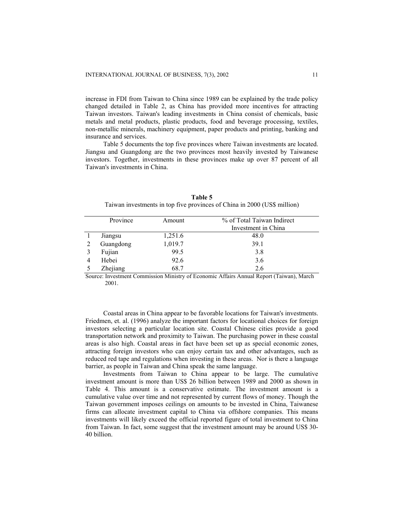increase in FDI from Taiwan to China since 1989 can be explained by the trade policy changed detailed in Table 2, as China has provided more incentives for attracting Taiwan investors. Taiwan's leading investments in China consist of chemicals, basic metals and metal products, plastic products, food and beverage processing, textiles, non-metallic minerals, machinery equipment, paper products and printing, banking and insurance and services.

Table 5 documents the top five provinces where Taiwan investments are located. Jiangsu and Guangdong are the two provinces most heavily invested by Taiwanese investors. Together, investments in these provinces make up over 87 percent of all Taiwan's investments in China.

| Province  | Amount  | % of Total Taiwan Indirect |
|-----------|---------|----------------------------|
|           |         | Investment in China        |
| Jiangsu   | 1,251.6 | 48.0                       |
| Guangdong | 1,019.7 | 39.1                       |
| Fujian    | 99.5    | 3.8                        |
| Hebei     | 92.6    | 3.6                        |
| Zhejiang  | 68.7    | 2.6                        |

**Table 5** Taiwan investments in top five provinces of China in 2000 (US\$ million)

Source: Investment Commission Ministry of Economic Affairs Annual Report (Taiwan), March 2001.

Coastal areas in China appear to be favorable locations for Taiwan's investments. Friedmen, et. al. (1996) analyze the important factors for locational choices for foreign investors selecting a particular location site. Coastal Chinese cities provide a good transportation network and proximity to Taiwan. The purchasing power in these coastal areas is also high. Coastal areas in fact have been set up as special economic zones, attracting foreign investors who can enjoy certain tax and other advantages, such as reduced red tape and regulations when investing in these areas. Nor is there a language barrier, as people in Taiwan and China speak the same language.

Investments from Taiwan to China appear to be large. The cumulative investment amount is more than US\$ 26 billion between 1989 and 2000 as shown in Table 4. This amount is a conservative estimate. The investment amount is a cumulative value over time and not represented by current flows of money. Though the Taiwan government imposes ceilings on amounts to be invested in China, Taiwanese firms can allocate investment capital to China via offshore companies. This means investments will likely exceed the official reported figure of total investment to China from Taiwan. In fact, some suggest that the investment amount may be around US\$ 30- 40 billion.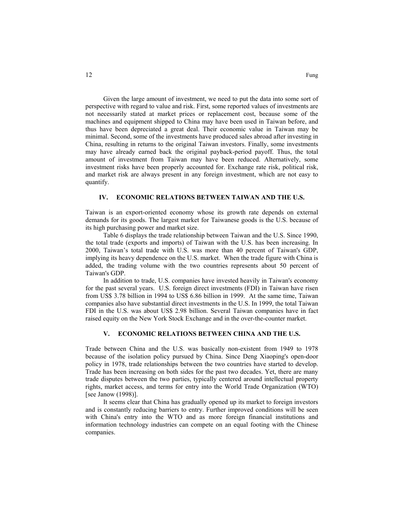Given the large amount of investment, we need to put the data into some sort of perspective with regard to value and risk. First, some reported values of investments are not necessarily stated at market prices or replacement cost, because some of the machines and equipment shipped to China may have been used in Taiwan before, and thus have been depreciated a great deal. Their economic value in Taiwan may be minimal. Second, some of the investments have produced sales abroad after investing in China, resulting in returns to the original Taiwan investors. Finally, some investments may have already earned back the original payback-period payoff. Thus, the total amount of investment from Taiwan may have been reduced. Alternatively, some investment risks have been properly accounted for. Exchange rate risk, political risk, and market risk are always present in any foreign investment, which are not easy to quantify.

#### **IV. ECONOMIC RELATIONS BETWEEN TAIWAN AND THE U.S.**

Taiwan is an export-oriented economy whose its growth rate depends on external demands for its goods. The largest market for Taiwanese goods is the U.S. because of its high purchasing power and market size.

Table 6 displays the trade relationship between Taiwan and the U.S. Since 1990, the total trade (exports and imports) of Taiwan with the U.S. has been increasing. In 2000, Taiwan's total trade with U.S. was more than 40 percent of Taiwan's GDP, implying its heavy dependence on the U.S. market. When the trade figure with China is added, the trading volume with the two countries represents about 50 percent of Taiwan's GDP.

In addition to trade, U.S. companies have invested heavily in Taiwan's economy for the past several years. U.S. foreign direct investments (FDI) in Taiwan have risen from US\$ 3.78 billion in 1994 to US\$ 6.86 billion in 1999. At the same time, Taiwan companies also have substantial direct investments in the U.S. In 1999, the total Taiwan FDI in the U.S. was about US\$ 2.98 billion. Several Taiwan companies have in fact raised equity on the New York Stock Exchange and in the over-the-counter market.

#### **V. ECONOMIC RELATIONS BETWEEN CHINA AND THE U.S.**

Trade between China and the U.S. was basically non-existent from 1949 to 1978 because of the isolation policy pursued by China. Since Deng Xiaoping's open-door policy in 1978, trade relationships between the two countries have started to develop. Trade has been increasing on both sides for the past two decades. Yet, there are many trade disputes between the two parties, typically centered around intellectual property rights, market access, and terms for entry into the World Trade Organization (WTO) [see Janow (1998)].

It seems clear that China has gradually opened up its market to foreign investors and is constantly reducing barriers to entry. Further improved conditions will be seen with China's entry into the WTO and as more foreign financial institutions and information technology industries can compete on an equal footing with the Chinese companies.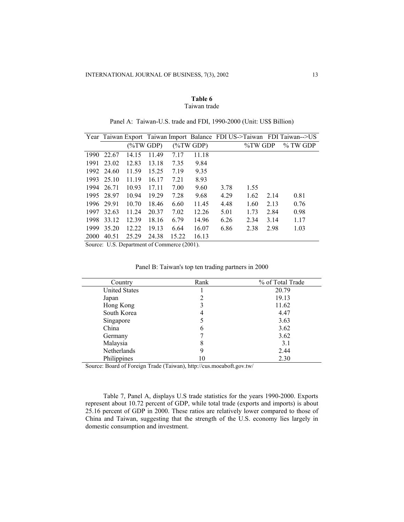### **Table 6** Taiwan trade

|             |       |             |       |       |             |      |         |      | Year Taiwan Export Taiwan Import Balance FDI US->Taiwan FDI Taiwan-->US |
|-------------|-------|-------------|-------|-------|-------------|------|---------|------|-------------------------------------------------------------------------|
|             |       | $(\%TWGDP)$ |       |       | $(\%TWGDP)$ |      | %TW GDP |      | $\%$ TW GDP                                                             |
| 1990        | 22.67 | 14.15       | 11.49 | 7.17  | 11.18       |      |         |      |                                                                         |
| 1991        | 23.02 | 12.83       | 13.18 | 7.35  | 9.84        |      |         |      |                                                                         |
| 1992        | 24.60 | 11.59       | 15.25 | 7.19  | 9.35        |      |         |      |                                                                         |
| 1993        | 25.10 | 11.19       | 16.17 | 7.21  | 8.93        |      |         |      |                                                                         |
| 1994        | 26.71 | 10.93       | 17.11 | 7.00  | 9.60        | 3.78 | 1.55    |      |                                                                         |
| 1995        | 28.97 | 10.94       | 19.29 | 7.28  | 9.68        | 4.29 | 1.62    | 2.14 | 0.81                                                                    |
| 1996        | 29.91 | 10.70       | 18.46 | 6.60  | 11.45       | 4.48 | 1.60    | 2.13 | 0.76                                                                    |
| 1997        | 32.63 | 11.24       | 20.37 | 7.02  | 12.26       | 5.01 | 1.73    | 2.84 | 0.98                                                                    |
| 1998        | 33.12 | 12.39       | 18.16 | 6.79  | 14.96       | 6.26 | 2.34    | 3.14 | 1.17                                                                    |
| 1999        | 35.20 | 12.22       | 19.13 | 6.64  | 16.07       | 6.86 | 2.38    | 2.98 | 1.03                                                                    |
| <b>2000</b> | 40.51 | 25.29       | 24.38 | 15.22 | 16.13       |      |         |      |                                                                         |

Panel A: Taiwan-U.S. trade and FDI, 1990-2000 (Unit: US\$ Billion)

Source: U.S. Department of Commerce (2001).

| Country              | Rank | % of Total Trade |  |  |
|----------------------|------|------------------|--|--|
| <b>United States</b> |      | 20.79            |  |  |
| Japan                |      | 19.13            |  |  |
| Hong Kong            |      | 11.62            |  |  |
| South Korea          | 4    | 4.47             |  |  |
| Singapore            |      | 3.63             |  |  |
| China                | 6    | 3.62             |  |  |
| Germany              |      | 3.62             |  |  |
| Malaysia             | 8    | 3.1              |  |  |
| Netherlands          | 9    | 2.44             |  |  |
| Philippines          | 10   | 2.30             |  |  |

Panel B: Taiwan's top ten trading partners in 2000

Source: Board of Foreign Trade (Taiwan), http://cus.moeaboft.gov.tw/

Table 7, Panel A, displays U.S trade statistics for the years 1990-2000. Exports represent about 10.72 percent of GDP, while total trade (exports and imports) is about 25.16 percent of GDP in 2000. These ratios are relatively lower compared to those of China and Taiwan, suggesting that the strength of the U.S. economy lies largely in domestic consumption and investment.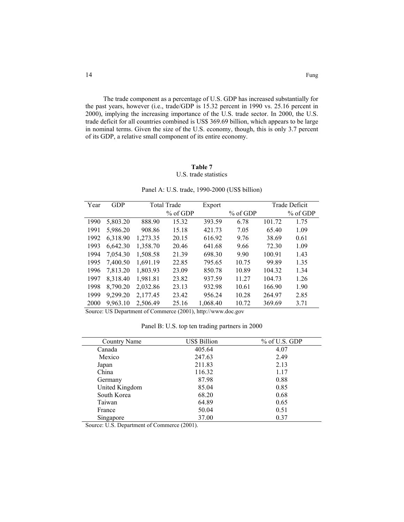The trade component as a percentage of U.S. GDP has increased substantially for the past years, however (i.e., trade/GDP is 15.32 percent in 1990 vs. 25.16 percent in 2000), implying the increasing importance of the U.S. trade sector. In 2000, the U.S. trade deficit for all countries combined is US\$ 369.69 billion, which appears to be large in nominal terms. Given the size of the U.S. economy, though, this is only 3.7 percent of its GDP, a relative small component of its entire economy.

# **Table 7**

# U.S. trade statistics

| Year | GDP      | <b>Total Trade</b> |            | Export   |            |        | Trade Deficit |  |
|------|----------|--------------------|------------|----------|------------|--------|---------------|--|
|      |          |                    | $%$ of GDP |          | $%$ of GDP |        | $%$ of GDP    |  |
| 1990 | 5,803.20 | 888.90             | 15.32      | 393.59   | 6.78       | 101.72 | 1.75          |  |
| 1991 | 5,986.20 | 908.86             | 15.18      | 421.73   | 7.05       | 65.40  | 1.09          |  |
| 1992 | 6,318.90 | 1,273.35           | 20.15      | 616.92   | 9.76       | 38.69  | 0.61          |  |
| 1993 | 6,642.30 | 1,358.70           | 20.46      | 641.68   | 9.66       | 72.30  | 1.09          |  |
| 1994 | 7.054.30 | 1,508.58           | 21.39      | 698.30   | 9.90       | 100.91 | 1.43          |  |
| 1995 | 7,400.50 | 1,691.19           | 22.85      | 795.65   | 10.75      | 99.89  | 1.35          |  |
| 1996 | 7,813.20 | 1,803.93           | 23.09      | 850.78   | 10.89      | 104.32 | 1.34          |  |
| 1997 | 8,318.40 | 1,981.81           | 23.82      | 937.59   | 11.27      | 104.73 | 1.26          |  |
| 1998 | 8.790.20 | 2,032.86           | 23.13      | 932.98   | 10.61      | 166.90 | 1.90          |  |
| 1999 | 9,299.20 | 2,177.45           | 23.42      | 956.24   | 10.28      | 264.97 | 2.85          |  |
| 2000 | 9,963.10 | 2.506.49           | 25.16      | 1,068.40 | 10.72      | 369.69 | 3.71          |  |

Panel A: U.S. trade, 1990-2000 (US\$ billion)

Source: US Department of Commerce (2001), http://www.doc.gov

Panel B: U.S. top ten trading partners in 2000

| Country Name   | <b>US\$ Billion</b> | % of U.S. GDP |
|----------------|---------------------|---------------|
| Canada         | 405.64              | 4.07          |
| Mexico         | 247.63              | 2.49          |
| Japan          | 211.83              | 2.13          |
| China          | 116.32              | 1.17          |
| Germany        | 87.98               | 0.88          |
| United Kingdom | 85.04               | 0.85          |
| South Korea    | 68.20               | 0.68          |
| Taiwan         | 64.89               | 0.65          |
| France         | 50.04               | 0.51          |
| Singapore      | 37.00               | 0.37          |

Source: U.S. Department of Commerce (2001).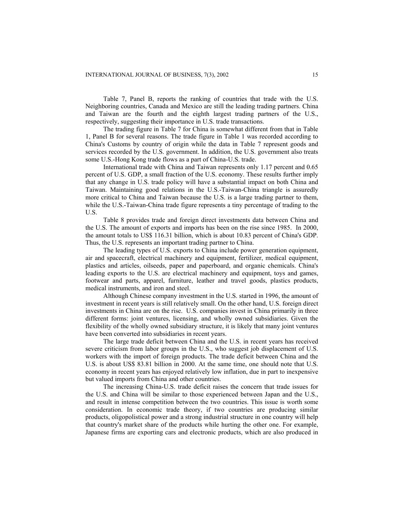Table 7, Panel B, reports the ranking of countries that trade with the U.S. Neighboring countries, Canada and Mexico are still the leading trading partners. China and Taiwan are the fourth and the eighth largest trading partners of the U.S., respectively, suggesting their importance in U.S. trade transactions.

The trading figure in Table 7 for China is somewhat different from that in Table 1, Panel B for several reasons. The trade figure in Table 1 was recorded according to China's Customs by country of origin while the data in Table 7 represent goods and services recorded by the U.S. government. In addition, the U.S. government also treats some U.S.-Hong Kong trade flows as a part of China-U.S. trade.

International trade with China and Taiwan represents only 1.17 percent and 0.65 percent of U.S. GDP, a small fraction of the U.S. economy. These results further imply that any change in U.S. trade policy will have a substantial impact on both China and Taiwan. Maintaining good relations in the U.S.-Taiwan-China triangle is assuredly more critical to China and Taiwan because the U.S. is a large trading partner to them, while the U.S.-Taiwan-China trade figure represents a tiny percentage of trading to the U.S.

Table 8 provides trade and foreign direct investments data between China and the U.S. The amount of exports and imports has been on the rise since 1985. In 2000, the amount totals to US\$ 116.31 billion, which is about 10.83 percent of China's GDP. Thus, the U.S. represents an important trading partner to China.

The leading types of U.S. exports to China include power generation equipment, air and spacecraft, electrical machinery and equipment, fertilizer, medical equipment, plastics and articles, oilseeds, paper and paperboard, and organic chemicals. China's leading exports to the U.S. are electrical machinery and equipment, toys and games, footwear and parts, apparel, furniture, leather and travel goods, plastics products, medical instruments, and iron and steel.

Although Chinese company investment in the U.S. started in 1996, the amount of investment in recent years is still relatively small. On the other hand, U.S. foreign direct investments in China are on the rise. U.S. companies invest in China primarily in three different forms: joint ventures, licensing, and wholly owned subsidiaries. Given the flexibility of the wholly owned subsidiary structure, it is likely that many joint ventures have been converted into subsidiaries in recent years.

The large trade deficit between China and the U.S. in recent years has received severe criticism from labor groups in the U.S., who suggest job displacement of U.S. workers with the import of foreign products. The trade deficit between China and the U.S. is about US\$ 83.81 billion in 2000. At the same time, one should note that U.S. economy in recent years has enjoyed relatively low inflation, due in part to inexpensive but valued imports from China and other countries.

The increasing China-U.S. trade deficit raises the concern that trade issues for the U.S. and China will be similar to those experienced between Japan and the U.S., and result in intense competition between the two countries. This issue is worth some consideration. In economic trade theory, if two countries are producing similar products, oligopolistical power and a strong industrial structure in one country will help that country's market share of the products while hurting the other one. For example, Japanese firms are exporting cars and electronic products, which are also produced in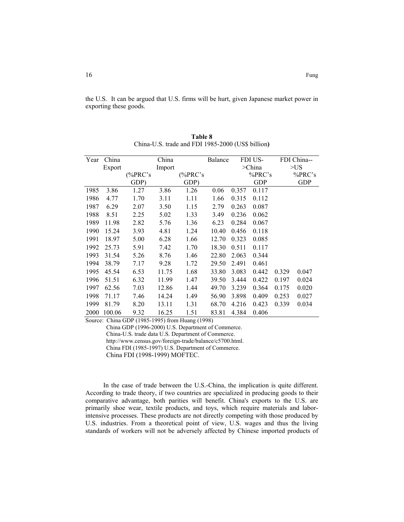the U.S. It can be argued that U.S. firms will be hurt, given Japanese market power in exporting these goods.

| Year | China  | China   |       |             | <b>Balance</b> |              | FDI US-    |       | FDI China-- |  |
|------|--------|---------|-------|-------------|----------------|--------------|------------|-------|-------------|--|
|      | Export | Import  |       |             |                | $\geq$ China |            | >US   |             |  |
|      |        | (%PRC's |       | (% $PRC$ 's |                |              | %PRC's     |       | %PRC's      |  |
|      |        | GDP)    |       | GDP)        |                |              | <b>GDP</b> |       | <b>GDP</b>  |  |
| 1985 | 3.86   | 1.27    | 3.86  | 1.26        | 0.06           | 0.357        | 0.117      |       |             |  |
| 1986 | 4.77   | 1.70    | 3.11  | 1.11        | 1.66           | 0.315        | 0.112      |       |             |  |
| 1987 | 6.29   | 2.07    | 3.50  | 1.15        | 2.79           | 0.263        | 0.087      |       |             |  |
| 1988 | 8.51   | 2.25    | 5.02  | 1.33        | 3.49           | 0.236        | 0.062      |       |             |  |
| 1989 | 11.98  | 2.82    | 5.76  | 1.36        | 6.23           | 0.284        | 0.067      |       |             |  |
| 1990 | 15.24  | 3.93    | 4.81  | 1.24        | 10.40          | 0.456        | 0.118      |       |             |  |
| 1991 | 18.97  | 5.00    | 6.28  | 1.66        | 12.70          | 0.323        | 0.085      |       |             |  |
| 1992 | 25.73  | 5.91    | 7.42  | 1.70        | 18.30          | 0.511        | 0.117      |       |             |  |
| 1993 | 31.54  | 5.26    | 8.76  | 1.46        | 22.80          | 2.063        | 0.344      |       |             |  |
| 1994 | 38.79  | 7.17    | 9.28  | 1.72        | 29.50          | 2.491        | 0.461      |       |             |  |
| 1995 | 45.54  | 6.53    | 11.75 | 1.68        | 33.80          | 3.083        | 0.442      | 0.329 | 0.047       |  |
| 1996 | 51.51  | 6.32    | 11.99 | 1.47        | 39.50          | 3.444        | 0.422      | 0.197 | 0.024       |  |
| 1997 | 62.56  | 7.03    | 12.86 | 1.44        | 49.70          | 3.239        | 0.364      | 0.175 | 0.020       |  |
| 1998 | 71.17  | 7.46    | 14.24 | 1.49        | 56.90          | 3.898        | 0.409      | 0.253 | 0.027       |  |
| 1999 | 81.79  | 8.20    | 13.11 | 1.31        | 68.70          | 4.216        | 0.423      | 0.339 | 0.034       |  |
| 2000 | 100.06 | 9.32    | 16.25 | 1.51        | 83.81          | 4.384        | 0.406      |       |             |  |

**Table 8** China-U.S. trade and FDI 1985-2000 (US\$ billion**)**

Source: China GDP (1985-1995) from Huang (1998)

China GDP (1996-2000) U.S. Department of Commerce.

China-U.S. trade data U.S. Department of Commerce.

http://www.census.gov/foreign-trade/balance/c5700.html.

China FDI (1985-1997) U.S. Department of Commerce.

China FDI (1998-1999) MOFTEC.

In the case of trade between the U.S.-China, the implication is quite different. According to trade theory, if two countries are specialized in producing goods to their comparative advantage, both parities will benefit. China's exports to the U.S. are primarily shoe wear, textile products, and toys, which require materials and laborintensive processes. These products are not directly competing with those produced by U.S. industries. From a theoretical point of view, U.S. wages and thus the living standards of workers will not be adversely affected by Chinese imported products of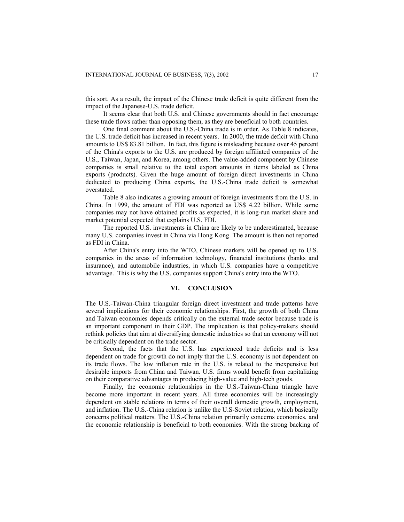this sort. As a result, the impact of the Chinese trade deficit is quite different from the impact of the Japanese-U.S. trade deficit.

It seems clear that both U.S. and Chinese governments should in fact encourage these trade flows rather than opposing them, as they are beneficial to both countries.

One final comment about the U.S.-China trade is in order. As Table 8 indicates, the U.S. trade deficit has increased in recent years. In 2000, the trade deficit with China amounts to US\$ 83.81 billion. In fact, this figure is misleading because over 45 percent of the China's exports to the U.S. are produced by foreign affiliated companies of the U.S., Taiwan, Japan, and Korea, among others. The value-added component by Chinese companies is small relative to the total export amounts in items labeled as China exports (products). Given the huge amount of foreign direct investments in China dedicated to producing China exports, the U.S.-China trade deficit is somewhat overstated.

Table 8 also indicates a growing amount of foreign investments from the U.S. in China. In 1999, the amount of FDI was reported as US\$ 4.22 billion. While some companies may not have obtained profits as expected, it is long-run market share and market potential expected that explains U.S. FDI.

The reported U.S. investments in China are likely to be underestimated, because many U.S. companies invest in China via Hong Kong. The amount is then not reported as FDI in China.

After China's entry into the WTO, Chinese markets will be opened up to U.S. companies in the areas of information technology, financial institutions (banks and insurance), and automobile industries, in which U.S. companies have a competitive advantage. This is why the U.S. companies support China's entry into the WTO.

#### **VI. CONCLUSION**

The U.S.-Taiwan-China triangular foreign direct investment and trade patterns have several implications for their economic relationships. First, the growth of both China and Taiwan economies depends critically on the external trade sector because trade is an important component in their GDP. The implication is that policy-makers should rethink policies that aim at diversifying domestic industries so that an economy will not be critically dependent on the trade sector.

Second, the facts that the U.S. has experienced trade deficits and is less dependent on trade for growth do not imply that the U.S. economy is not dependent on its trade flows. The low inflation rate in the U.S. is related to the inexpensive but desirable imports from China and Taiwan. U.S. firms would benefit from capitalizing on their comparative advantages in producing high-value and high-tech goods.

Finally, the economic relationships in the U.S.-Taiwan-China triangle have become more important in recent years. All three economies will be increasingly dependent on stable relations in terms of their overall domestic growth, employment, and inflation. The U.S.-China relation is unlike the U.S-Soviet relation, which basically concerns political matters. The U.S.-China relation primarily concerns economics, and the economic relationship is beneficial to both economies. With the strong backing of